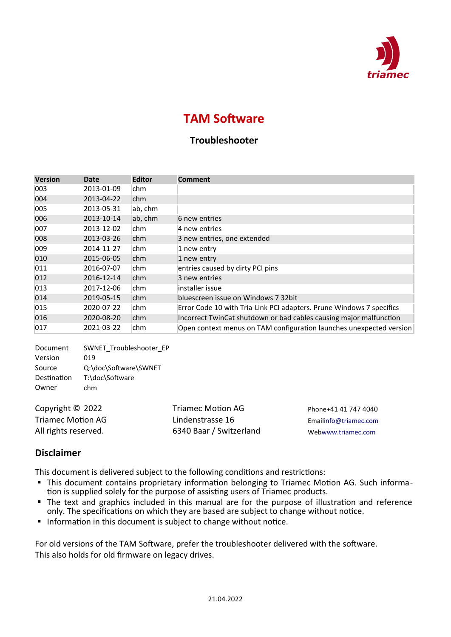

## **TAM Software**

## **Troubleshooter**

| <b>Version</b>           | <b>Date</b>                       | <b>Editor</b> | <b>Comment</b>                                                       |
|--------------------------|-----------------------------------|---------------|----------------------------------------------------------------------|
| 003                      | 2013-01-09                        | chm           |                                                                      |
| 004                      | 2013-04-22                        | chm           |                                                                      |
| 005                      | 2013-05-31                        | ab, chm       |                                                                      |
| 006                      | 2013-10-14                        | ab, chm       | 6 new entries                                                        |
| 007                      | 2013-12-02                        | chm           | 4 new entries                                                        |
| 008                      | 2013-03-26                        | chm           | 3 new entries, one extended                                          |
| 009                      | 2014-11-27                        | chm           | 1 new entry                                                          |
| 010                      | 2015-06-05                        | chm           | 1 new entry                                                          |
| 011                      | 2016-07-07                        | chm           | entries caused by dirty PCI pins                                     |
| 012                      | 2016-12-14                        | chm           | 3 new entries                                                        |
| 013                      | 2017-12-06                        | chm           | installer issue                                                      |
| 014                      | 2019-05-15                        | chm           | bluescreen issue on Windows 7 32bit                                  |
| 015                      | 2020-07-22                        | chm           | Error Code 10 with Tria-Link PCI adapters. Prune Windows 7 specifics |
| 016                      | 2020-08-20                        | chm           | Incorrect TwinCat shutdown or bad cables causing major malfunction   |
| 017                      | 2021-03-22                        | chm           | Open context menus on TAM configuration launches unexpected version  |
| Document<br>$11 -  1 - $ | SWNET Troubleshooter EP<br>$\sim$ |               |                                                                      |

Version 019 Source Q:\doc\Software\SWNET Destination T:\doc\Software Owner chm

Copyright © 2022 Triamec Motion AG Triamec Motion AG Lindenstrasse 16

All rights reserved. 6340 Baar / Switzerland

Phone+41 41 747 4040 Email[info@triamec.com](mailto:info@triamec.com) Web[www.triamec.com](http://www.triamec.com/)

## **Disclaimer**

This document is delivered subject to the following conditions and restrictions:

- This document contains proprietary information belonging to Triamec Motion AG. Such information is supplied solely for the purpose of assisting users of Triamec products.
- The text and graphics included in this manual are for the purpose of illustration and reference only. The specifications on which they are based are subject to change without notice.
- **Information in this document is subject to change without notice.**

For old versions of the TAM Software, prefer the troubleshooter delivered with the software. This also holds for old firmware on legacy drives.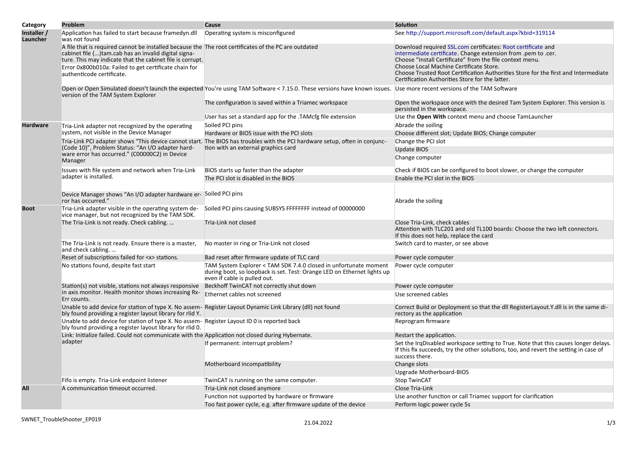| Category                | Problem                                                                                                                                                                                                                                                                                                         | Cause                                                                                                                                                                       | <b>Solution</b>                                                                                                                                                                                                                                                                                                                                                               |
|-------------------------|-----------------------------------------------------------------------------------------------------------------------------------------------------------------------------------------------------------------------------------------------------------------------------------------------------------------|-----------------------------------------------------------------------------------------------------------------------------------------------------------------------------|-------------------------------------------------------------------------------------------------------------------------------------------------------------------------------------------------------------------------------------------------------------------------------------------------------------------------------------------------------------------------------|
| Installer /<br>Launcher | Application has failed to start because framedyn.dll<br>was not found                                                                                                                                                                                                                                           | Operating system is misconfigured                                                                                                                                           | See http://support.microsoft.com/default.aspx?kbid=319114                                                                                                                                                                                                                                                                                                                     |
|                         | A file that is required cannot be installed because the The root certificates of the PC are outdated<br>cabinet file ()tam.cab has an invalid digital signa-<br>ture. This may indicate that the cabinet file is corrupt.<br>Error 0x800b010a: Failed to get certificate chain for<br>authenticode certificate. |                                                                                                                                                                             | Download required SSL.com certificates: Root certificate and<br>intermediate certificate. Change extension from .pem to .cer.<br>Choose "Install Certificate" from the file context menu.<br>Choose Local Machine Certificate Store.<br>Choose Trusted Root Certification Authorities Store for the first and Intermediate<br>Certification Authorities Store for the latter. |
|                         | version of the TAM System Explorer                                                                                                                                                                                                                                                                              | Open or Open Simulated doesn't launch the expected You're using TAM Software < 7.15.0. These versions have known issues. Use more recent versions of the TAM Software       |                                                                                                                                                                                                                                                                                                                                                                               |
|                         |                                                                                                                                                                                                                                                                                                                 | The configuration is saved within a Triamec workspace                                                                                                                       | Open the workspace once with the desired Tam System Explorer. This version is<br>persisted in the workspace.                                                                                                                                                                                                                                                                  |
|                         |                                                                                                                                                                                                                                                                                                                 | User has set a standard app for the .TAMcfg file extension                                                                                                                  | Use the Open With context menu and choose TamLauncher                                                                                                                                                                                                                                                                                                                         |
| Hardware                | Tria-Link adapter not recognized by the operating                                                                                                                                                                                                                                                               | Soiled PCI pins                                                                                                                                                             | Abrade the soiling                                                                                                                                                                                                                                                                                                                                                            |
|                         | system, not visible in the Device Manager                                                                                                                                                                                                                                                                       | Hardware or BIOS issue with the PCI slots                                                                                                                                   | Choose different slot; Update BIOS; Change computer                                                                                                                                                                                                                                                                                                                           |
|                         |                                                                                                                                                                                                                                                                                                                 | Tria-Link PCI adapter shows "This device cannot start. The BIOS has troubles with the PCI hardware setup, often in conjunc-<br>tion with an external graphics card          | Change the PCI slot                                                                                                                                                                                                                                                                                                                                                           |
|                         | (Code 10)", Problem Status: "An I/O adapter hard-                                                                                                                                                                                                                                                               |                                                                                                                                                                             | <b>Update BIOS</b>                                                                                                                                                                                                                                                                                                                                                            |
|                         | ware error has occurred." (C00000C2) in Device<br>Manager                                                                                                                                                                                                                                                       |                                                                                                                                                                             | Change computer                                                                                                                                                                                                                                                                                                                                                               |
|                         | Issues with file system and network when Tria-Link                                                                                                                                                                                                                                                              | BIOS starts up faster than the adapter                                                                                                                                      | Check if BIOS can be configured to boot slower, or change the computer                                                                                                                                                                                                                                                                                                        |
|                         | adapter is installed.                                                                                                                                                                                                                                                                                           | The PCI slot is disabled in the BIOS                                                                                                                                        | Enable the PCI slot in the BIOS                                                                                                                                                                                                                                                                                                                                               |
|                         | Device Manager shows "An I/O adapter hardware er- Soiled PCI pins<br>ror has occurred."                                                                                                                                                                                                                         |                                                                                                                                                                             | Abrade the soiling                                                                                                                                                                                                                                                                                                                                                            |
| Boot                    | Tria-Link adapter visible in the operating system de-<br>vice manager, but not recognized by the TAM SDK.                                                                                                                                                                                                       | Soiled PCI pins causing SUBSYS FFFFFFFF instead of 00000000                                                                                                                 |                                                                                                                                                                                                                                                                                                                                                                               |
|                         | The Tria-Link is not ready. Check cabling.                                                                                                                                                                                                                                                                      | Tria-Link not closed                                                                                                                                                        | Close Tria-Link, check cables<br>Attention with TLC201 and old TL100 boards: Choose the two left connectors.<br>If this does not help, replace the card                                                                                                                                                                                                                       |
|                         | The Tria-Link is not ready. Ensure there is a master,<br>and check cabling.                                                                                                                                                                                                                                     | No master in ring or Tria-Link not closed                                                                                                                                   | Switch card to master, or see above                                                                                                                                                                                                                                                                                                                                           |
|                         | Reset of subscriptions failed for <x> stations.</x>                                                                                                                                                                                                                                                             | Bad reset after firmware update of TLC card                                                                                                                                 | Power cycle computer                                                                                                                                                                                                                                                                                                                                                          |
|                         | No stations found, despite fast start                                                                                                                                                                                                                                                                           | TAM System Explorer < TAM SDK 7.4.0 closed in unfortunate moment<br>during boot, so loopback is set. Test: Orange LED on Ethernet lights up<br>even if cable is pulled out. | Power cycle computer                                                                                                                                                                                                                                                                                                                                                          |
|                         | Station(s) not visible, stations not always responsive                                                                                                                                                                                                                                                          | Beckhoff TwinCAT not correctly shut down                                                                                                                                    | Power cycle computer                                                                                                                                                                                                                                                                                                                                                          |
|                         | in axis monitor. Health monitor shows increasing Rx-<br>Err counts.                                                                                                                                                                                                                                             | Ethernet cables not screened                                                                                                                                                | Use screened cables                                                                                                                                                                                                                                                                                                                                                           |
|                         | Unable to add device for station of type X. No assem- Register Layout Dynamic Link Library (dll) not found<br>bly found providing a register layout library for rlid Y.                                                                                                                                         |                                                                                                                                                                             | Correct Build or Deployment so that the dll RegisterLayout.Y.dll is in the same di-<br>rectory as the application                                                                                                                                                                                                                                                             |
|                         | Unable to add device for station of type X. No assem- Register Layout ID 0 is reported back<br>bly found providing a register layout library for rlid 0.                                                                                                                                                        |                                                                                                                                                                             | Reprogram firmware                                                                                                                                                                                                                                                                                                                                                            |
|                         | Link: Initialize failed. Could not communicate with the Application not closed during Hybernate.                                                                                                                                                                                                                |                                                                                                                                                                             | Restart the application.                                                                                                                                                                                                                                                                                                                                                      |
|                         | adapter                                                                                                                                                                                                                                                                                                         | If permanent: interrupt problem?                                                                                                                                            | Set the IrgDisabled workspace setting to True. Note that this causes longer delays.<br>If this fix succeeds, try the other solutions, too, and revert the setting in case of<br>success there.                                                                                                                                                                                |
|                         |                                                                                                                                                                                                                                                                                                                 | Motherboard incompatibility                                                                                                                                                 | Change slots                                                                                                                                                                                                                                                                                                                                                                  |
|                         |                                                                                                                                                                                                                                                                                                                 |                                                                                                                                                                             | Upgrade Motherboard-BIOS                                                                                                                                                                                                                                                                                                                                                      |
|                         | Fifo is empty. Tria-Link endpoint listener                                                                                                                                                                                                                                                                      | TwinCAT is running on the same computer.                                                                                                                                    | <b>Stop TwinCAT</b>                                                                                                                                                                                                                                                                                                                                                           |
| All                     | A communication timeout occurred.                                                                                                                                                                                                                                                                               | Tria-Link not closed anymore                                                                                                                                                | Close Tria-Link                                                                                                                                                                                                                                                                                                                                                               |
|                         |                                                                                                                                                                                                                                                                                                                 | Function not supported by hardware or firmware                                                                                                                              | Use another function or call Triamec support for clarification                                                                                                                                                                                                                                                                                                                |
|                         |                                                                                                                                                                                                                                                                                                                 | Too fast power cycle, e.g. after firmware update of the device                                                                                                              | Perform logic power cycle 5s                                                                                                                                                                                                                                                                                                                                                  |